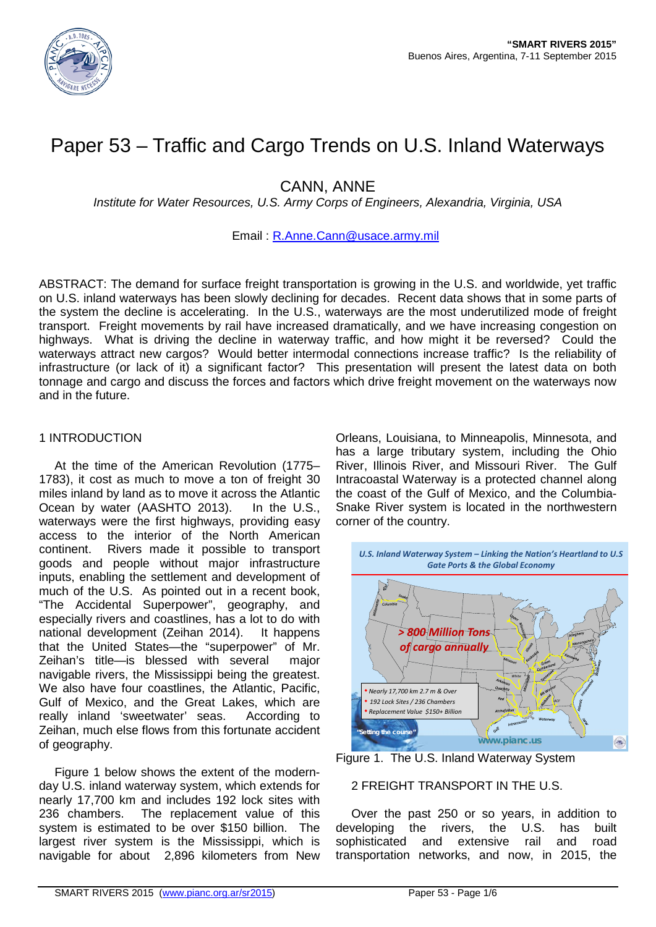

# Paper 53 – Traffic and Cargo Trends on U.S. Inland Waterways

CANN, ANNE

*Institute for Water Resources, U.S. Army Corps of Engineers, Alexandria, Virginia, USA*

# Email : [R.Anne.Cann@usace.army.mil](mailto:R.Anne.Cann@usace.army.mil)

ABSTRACT: The demand for surface freight transportation is growing in the U.S. and worldwide, yet traffic on U.S. inland waterways has been slowly declining for decades. Recent data shows that in some parts of the system the decline is accelerating. In the U.S., waterways are the most underutilized mode of freight transport. Freight movements by rail have increased dramatically, and we have increasing congestion on highways. What is driving the decline in waterway traffic, and how might it be reversed? Could the waterways attract new cargos? Would better intermodal connections increase traffic? Is the reliability of infrastructure (or lack of it) a significant factor? This presentation will present the latest data on both tonnage and cargo and discuss the forces and factors which drive freight movement on the waterways now and in the future.

# 1 INTRODUCTION

At the time of the American Revolution (1775– 1783), it cost as much to move a ton of freight 30 miles inland by land as to move it across the Atlantic Ocean by water (AASHTO 2013). In the U.S., waterways were the first highways, providing easy access to the interior of the North American continent. Rivers made it possible to transport goods and people without major infrastructure inputs, enabling the settlement and development of much of the U.S. As pointed out in a recent book, "The Accidental Superpower", geography, and especially rivers and coastlines, has a lot to do with national development (Zeihan 2014). It happens that the United States—the "superpower" of Mr. Zeihan's title—is blessed with several major navigable rivers, the Mississippi being the greatest. We also have four coastlines, the Atlantic, Pacific, Gulf of Mexico, and the Great Lakes, which are really inland 'sweetwater' seas. According to Zeihan, much else flows from this fortunate accident of geography.

Figure 1 below shows the extent of the modernday U.S. inland waterway system, which extends for nearly 17,700 km and includes 192 lock sites with 236 chambers. The replacement value of this system is estimated to be over \$150 billion. The largest river system is the Mississippi, which is navigable for about 2,896 kilometers from New

Orleans, Louisiana, to Minneapolis, Minnesota, and has a large tributary system, including the Ohio River, Illinois River, and Missouri River. The Gulf Intracoastal Waterway is a protected channel along the coast of the Gulf of Mexico, and the Columbia-Snake River system is located in the northwestern corner of the country.



Figure 1. The U.S. Inland Waterway System

# 2 FREIGHT TRANSPORT IN THE U.S.

Over the past 250 or so years, in addition to developing the rivers, the U.S. has built sophisticated and extensive rail and road transportation networks, and now, in 2015, the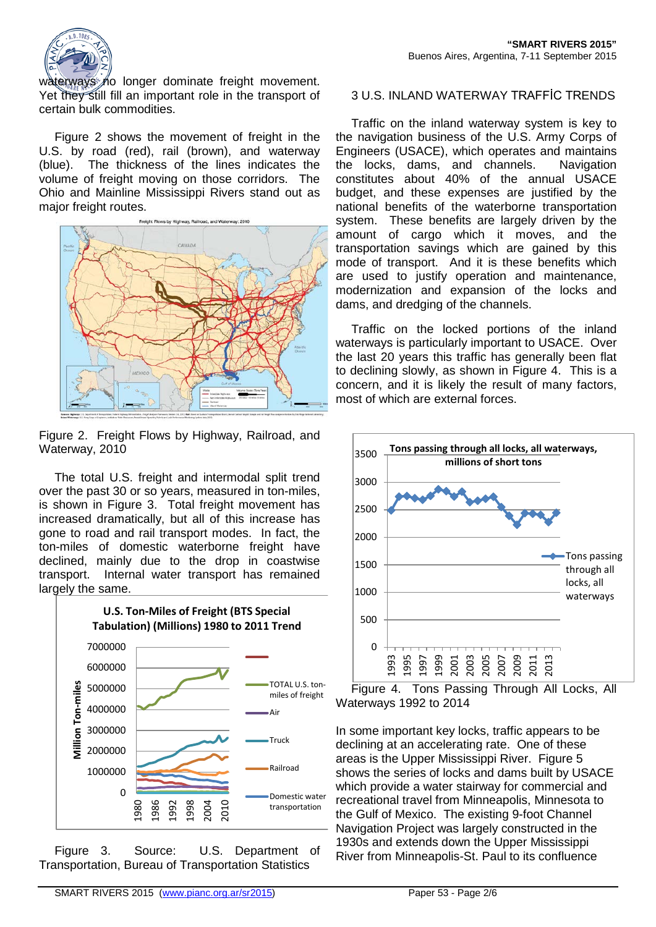

waterways no longer dominate freight movement. Yet they still fill an important role in the transport of certain bulk commodities.

Figure 2 shows the movement of freight in the U.S. by road (red), rail (brown), and waterway (blue). The thickness of the lines indicates the volume of freight moving on those corridors. The Ohio and Mainline Mississippi Rivers stand out as major freight routes.



Figure 2. Freight Flows by Highway, Railroad, and Waterway, 2010

The total U.S. freight and intermodal split trend over the past 30 or so years, measured in ton-miles, is shown in Figure 3. Total freight movement has increased dramatically, but all of this increase has gone to road and rail transport modes. In fact, the ton-miles of domestic waterborne freight have declined, mainly due to the drop in coastwise transport. Internal water transport has remained largely the same.



Figure 3. Source: U.S. Department of Transportation, Bureau of Transportation Statistics

# 3 U.S. INLAND WATERWAY TRAFFİC TRENDS

Traffic on the inland waterway system is key to the navigation business of the U.S. Army Corps of Engineers (USACE), which operates and maintains the locks, dams, and channels. Navigation constitutes about 40% of the annual USACE budget, and these expenses are justified by the national benefits of the waterborne transportation system. These benefits are largely driven by the amount of cargo which it moves, and the transportation savings which are gained by this mode of transport. And it is these benefits which are used to justify operation and maintenance, modernization and expansion of the locks and dams, and dredging of the channels.

Traffic on the locked portions of the inland waterways is particularly important to USACE. Over the last 20 years this traffic has generally been flat to declining slowly, as shown in Figure 4. This is a concern, and it is likely the result of many factors, most of which are external forces.





In some important key locks, traffic appears to be declining at an accelerating rate. One of these areas is the Upper Mississippi River. Figure 5 shows the series of locks and dams built by USACE which provide a water stairway for commercial and recreational travel from Minneapolis, Minnesota to the Gulf of Mexico. The existing 9-foot Channel Navigation Project was largely constructed in the 1930s and extends down the Upper Mississippi River from Minneapolis-St. Paul to its confluence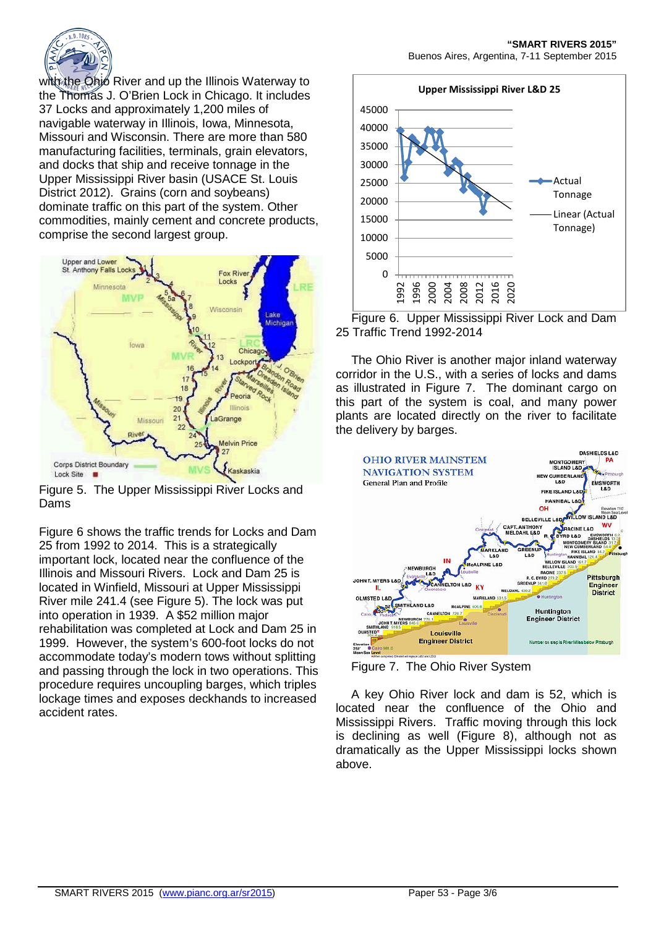

with the Ohio River and up the Illinois Waterway to the Thomas J. O'Brien Lock in Chicago. It includes 37 Locks and approximately 1,200 miles of navigable waterway in Illinois, Iowa, Minnesota, Missouri and Wisconsin. There are more than 580 manufacturing facilities, terminals, grain elevators, and docks that ship and receive tonnage in the Upper Mississippi River basin (USACE St. Louis District 2012). Grains (corn and soybeans) dominate traffic on this part of the system. Other commodities, mainly cement and concrete products, comprise the second largest group.



Figure 5. The Upper Mississippi River Locks and Dams

Figure 6 shows the traffic trends for Locks and Dam 25 from 1992 to 2014. This is a strategically important lock, located near the confluence of the Illinois and Missouri Rivers. Lock and Dam 25 is located in Winfield, Missouri at Upper Mississippi River mile 241.4 (see Figure 5). The lock was put into operation in 1939. A \$52 million major rehabilitation was completed at Lock and Dam 25 in 1999. However, the system's 600-foot locks do not accommodate today's modern tows without splitting and passing through the lock in two operations. This procedure requires uncoupling barges, which triples lockage times and exposes deckhands to increased accident rates.



Figure 6. Upper Mississippi River Lock and Dam 25 Traffic Trend 1992-2014

The Ohio River is another major inland waterway corridor in the U.S., with a series of locks and dams as illustrated in Figure 7. The dominant cargo on this part of the system is coal, and many power plants are located directly on the river to facilitate the delivery by barges.



Figure 7. The Ohio River System

A key Ohio River lock and dam is 52, which is located near the confluence of the Ohio and Mississippi Rivers. Traffic moving through this lock is declining as well (Figure 8), although not as dramatically as the Upper Mississippi locks shown above.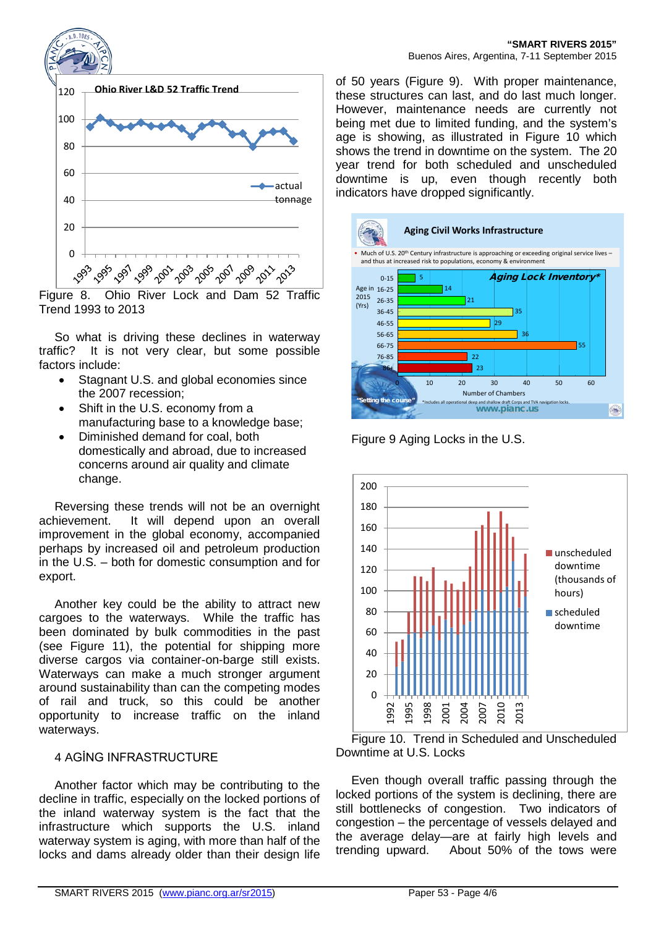

Figure 8. Ohio River Lock and Dam 52 Traffic Trend 1993 to 2013

So what is driving these declines in waterway traffic? It is not very clear, but some possible factors include:

- Stagnant U.S. and global economies since the 2007 recession;
- Shift in the U.S. economy from a manufacturing base to a knowledge base;
- Diminished demand for coal, both domestically and abroad, due to increased concerns around air quality and climate change.

Reversing these trends will not be an overnight achievement. It will depend upon an overall improvement in the global economy, accompanied perhaps by increased oil and petroleum production in the U.S. – both for domestic consumption and for export.

Another key could be the ability to attract new cargoes to the waterways. While the traffic has been dominated by bulk commodities in the past (see Figure 11), the potential for shipping more diverse cargos via container-on-barge still exists. Waterways can make a much stronger argument around sustainability than can the competing modes of rail and truck, so this could be another opportunity to increase traffic on the inland waterways.

# 4 AGİNG INFRASTRUCTURE

Another factor which may be contributing to the decline in traffic, especially on the locked portions of the inland waterway system is the fact that the infrastructure which supports the U.S. inland waterway system is aging, with more than half of the locks and dams already older than their design life

of 50 years (Figure 9). With proper maintenance, these structures can last, and do last much longer. However, maintenance needs are currently not being met due to limited funding, and the system's age is showing, as illustrated in Figure 10 which shows the trend in downtime on the system. The 20 year trend for both scheduled and unscheduled downtime is up, even though recently both indicators have dropped significantly.



Figure 9 Aging Locks in the U.S.



Figure 10. Trend in Scheduled and Unscheduled Downtime at U.S. Locks

Even though overall traffic passing through the locked portions of the system is declining, there are still bottlenecks of congestion. Two indicators of congestion – the percentage of vessels delayed and the average delay—are at fairly high levels and trending upward. About 50% of the tows were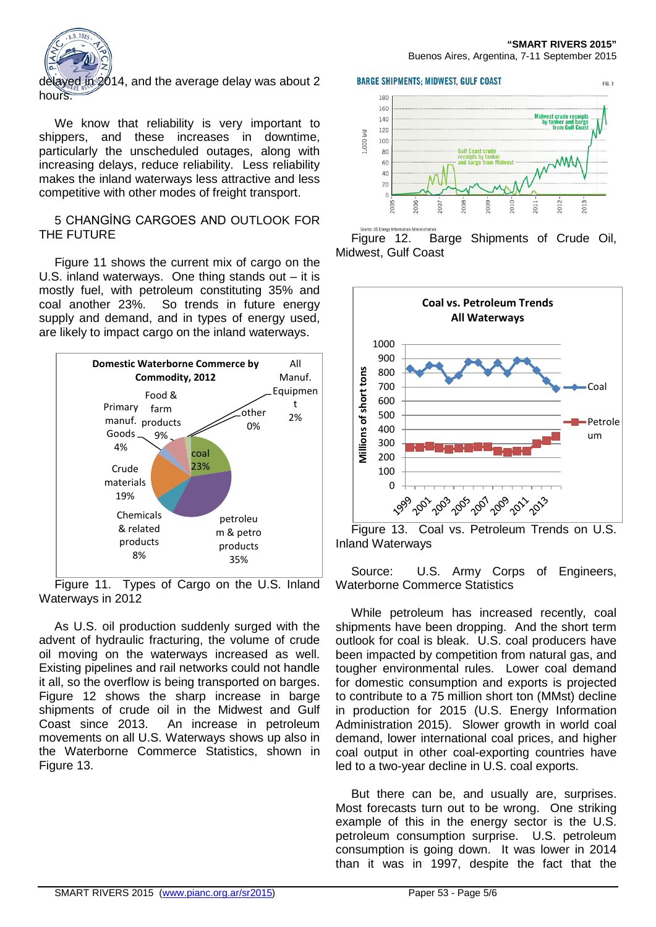

delayed in 2014, and the average delay was about 2

We know that reliability is very important to shippers, and these increases in downtime, particularly the unscheduled outages, along with increasing delays, reduce reliability. Less reliability makes the inland waterways less attractive and less competitive with other modes of freight transport.

### 5 CHANGİNG CARGOES AND OUTLOOK FOR THE FUTURE

Figure 11 shows the current mix of cargo on the U.S. inland waterways. One thing stands out – it is mostly fuel, with petroleum constituting 35% and coal another 23%. So trends in future energy supply and demand, and in types of energy used, are likely to impact cargo on the inland waterways.



Figure 11. Types of Cargo on the U.S. Inland Waterways in 2012

As U.S. oil production suddenly surged with the advent of hydraulic fracturing, the volume of crude oil moving on the waterways increased as well. Existing pipelines and rail networks could not handle it all, so the overflow is being transported on barges. Figure 12 shows the sharp increase in barge shipments of crude oil in the Midwest and Gulf Coast since 2013. An increase in petroleum movements on all U.S. Waterways shows up also in the Waterborne Commerce Statistics, shown in Figure 13.

**BARGE SHIPMENTS: MIDWEST, GULF COAST** 



Figure 12. Barge Shipments of Crude Oil, Midwest, Gulf Coast



Figure 13. Coal vs. Petroleum Trends on U.S. Inland Waterways

Source: U.S. Army Corps of Engineers, Waterborne Commerce Statistics

While petroleum has increased recently, coal shipments have been dropping. And the short term outlook for coal is bleak. U.S. coal producers have been impacted by competition from natural gas, and tougher environmental rules. Lower coal demand for domestic consumption and exports is projected to contribute to a 75 million short ton (MMst) decline in production for 2015 (U.S. Energy Information Administration 2015). Slower growth in world coal demand, lower international coal prices, and higher coal output in other coal-exporting countries have led to a two-year decline in U.S. coal exports.

But there can be, and usually are, surprises. Most forecasts turn out to be wrong. One striking example of this in the energy sector is the U.S. petroleum consumption surprise. U.S. petroleum consumption is going down. It was lower in 2014 than it was in 1997, despite the fact that the